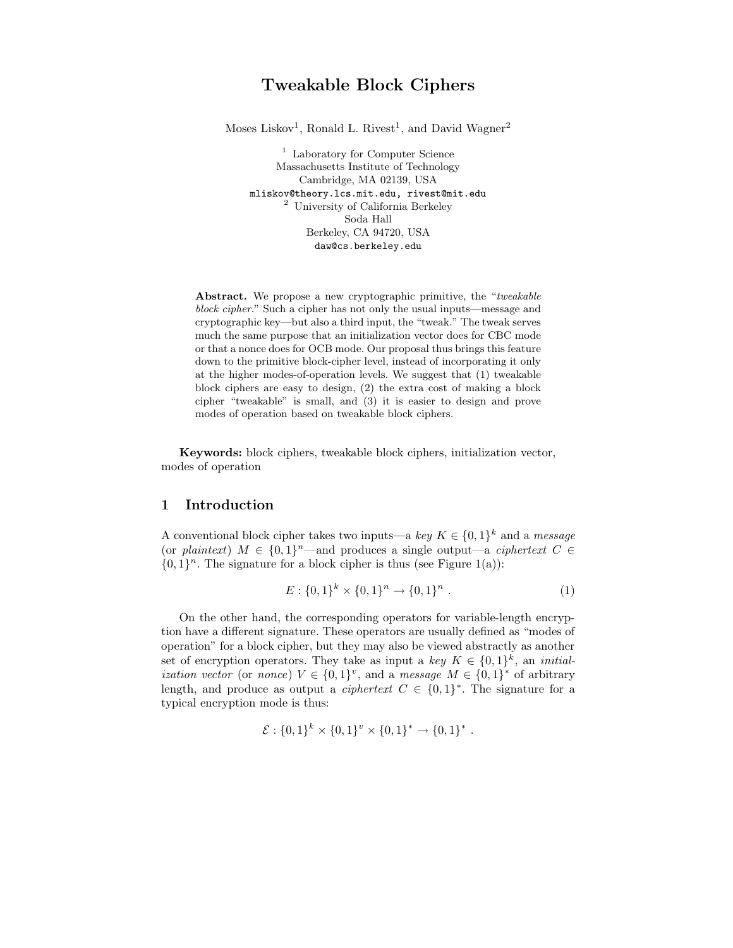# Tweakable Block Ciphers

Moses Liskov<sup>1</sup>, Ronald L. Rivest<sup>1</sup>, and David Wagner<sup>2</sup>

<sup>1</sup> Laboratory for Computer Science Massachusetts Institute of Technology Cambridge, MA 02139, USA mliskov@theory.lcs.mit.edu, rivest@mit.edu <sup>2</sup> University of California Berkeley Soda Hall Berkeley, CA 94720, USA daw@cs.berkeley.edu

Abstract. We propose a new cryptographic primitive, the "tweakable block cipher." Such a cipher has not only the usual inputs—message and cryptographic key—but also a third input, the "tweak." The tweak serves much the same purpose that an initialization vector does for CBC mode or that a nonce does for OCB mode. Our proposal thus brings this feature down to the primitive block-cipher level, instead of incorporating it only at the higher modes-of-operation levels. We suggest that (1) tweakable block ciphers are easy to design, (2) the extra cost of making a block cipher "tweakable" is small, and (3) it is easier to design and prove modes of operation based on tweakable block ciphers.

Keywords: block ciphers, tweakable block ciphers, initialization vector, modes of operation

## 1 Introduction

A conventional block cipher takes two inputs—a key  $K \in \{0,1\}^k$  and a message (or plaintext)  $M \in \{0,1\}^n$ —and produces a single output—a *ciphertext*  $C \in$  $\{0,1\}^n$ . The signature for a block cipher is thus (see Figure 1(a)):

$$
E: \{0,1\}^k \times \{0,1\}^n \to \{0,1\}^n .
$$
 (1)

On the other hand, the corresponding operators for variable-length encryption have a different signature. These operators are usually defined as "modes of operation" for a block cipher, but they may also be viewed abstractly as another set of encryption operators. They take as input a key  $K \in \{0,1\}^k$ , an *initialization vector* (or *nonce*)  $V \in \{0,1\}^v$ , and a *message*  $M \in \{0,1\}^*$  of arbitrary length, and produce as output a *ciphertext*  $C \in \{0,1\}^*$ . The signature for a typical encryption mode is thus:

$$
\mathcal{E}: \{0,1\}^k \times \{0,1\}^v \times \{0,1\}^* \to \{0,1\}^*.
$$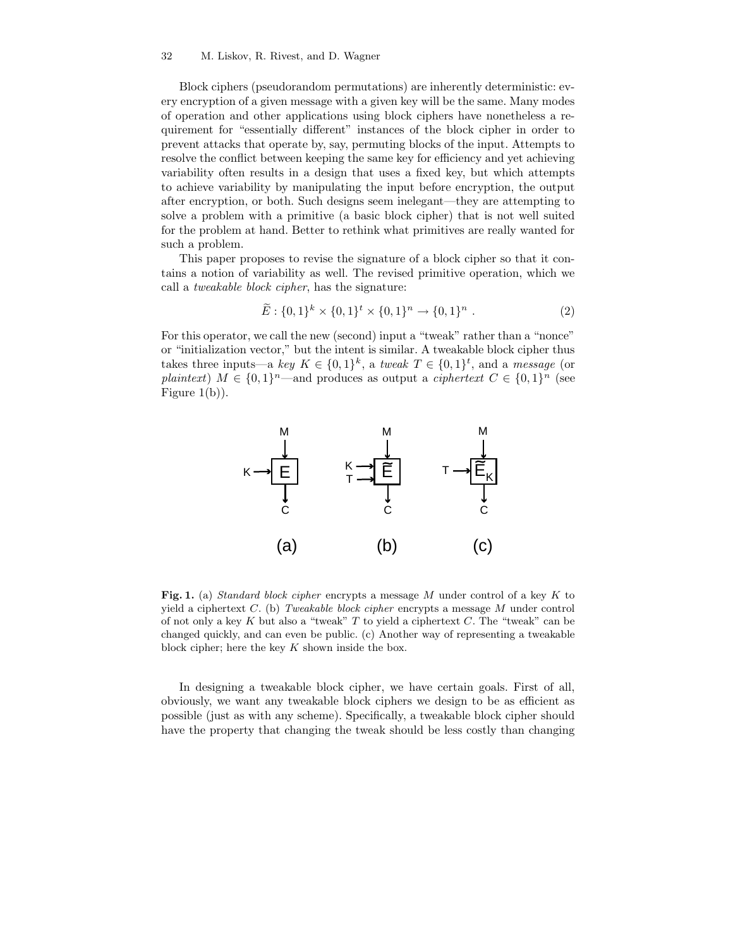#### 32 M. Liskov, R. Rivest, and D. Wagner

Block ciphers (pseudorandom permutations) are inherently deterministic: every encryption of a given message with a given key will be the same. Many modes of operation and other applications using block ciphers have nonetheless a requirement for "essentially different" instances of the block cipher in order to prevent attacks that operate by, say, permuting blocks of the input. Attempts to resolve the conflict between keeping the same key for efficiency and yet achieving variability often results in a design that uses a fixed key, but which attempts to achieve variability by manipulating the input before encryption, the output after encryption, or both. Such designs seem inelegant—they are attempting to solve a problem with a primitive (a basic block cipher) that is not well suited for the problem at hand. Better to rethink what primitives are really wanted for such a problem.

This paper proposes to revise the signature of a block cipher so that it contains a notion of variability as well. The revised primitive operation, which we call a tweakable block cipher, has the signature:

$$
\widetilde{E}: \{0,1\}^k \times \{0,1\}^t \times \{0,1\}^n \to \{0,1\}^n .
$$
\n(2)

For this operator, we call the new (second) input a "tweak" rather than a "nonce" or "initialization vector," but the intent is similar. A tweakable block cipher thus takes three inputs—a key  $K \in \{0,1\}^k$ , a tweak  $T \in \{0,1\}^t$ , and a message (or plaintext)  $M \in \{0,1\}^n$ —and produces as output a *ciphertext*  $C \in \{0,1\}^n$  (see Figure  $1(b)$ ).



Fig. 1. (a) Standard block cipher encrypts a message M under control of a key K to yield a ciphertext  $C$ . (b) Tweakable block cipher encrypts a message  $M$  under control of not only a key K but also a "tweak"  $T$  to yield a ciphertext  $C$ . The "tweak" can be changed quickly, and can even be public. (c) Another way of representing a tweakable block cipher; here the key K shown inside the box.

In designing a tweakable block cipher, we have certain goals. First of all, obviously, we want any tweakable block ciphers we design to be as efficient as possible (just as with any scheme). Specifically, a tweakable block cipher should have the property that changing the tweak should be less costly than changing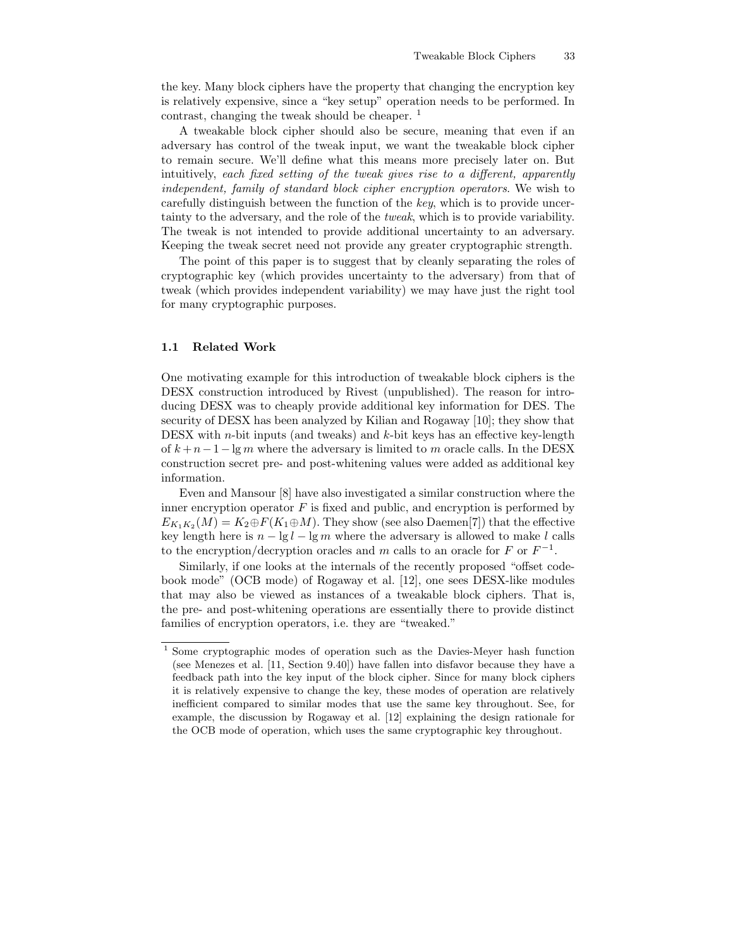the key. Many block ciphers have the property that changing the encryption key is relatively expensive, since a "key setup" operation needs to be performed. In contrast, changing the tweak should be cheaper. <sup>1</sup>

A tweakable block cipher should also be secure, meaning that even if an adversary has control of the tweak input, we want the tweakable block cipher to remain secure. We'll define what this means more precisely later on. But intuitively, each fixed setting of the tweak gives rise to a different, apparently independent, family of standard block cipher encryption operators. We wish to carefully distinguish between the function of the key, which is to provide uncertainty to the adversary, and the role of the tweak, which is to provide variability. The tweak is not intended to provide additional uncertainty to an adversary. Keeping the tweak secret need not provide any greater cryptographic strength.

The point of this paper is to suggest that by cleanly separating the roles of cryptographic key (which provides uncertainty to the adversary) from that of tweak (which provides independent variability) we may have just the right tool for many cryptographic purposes.

### 1.1 Related Work

One motivating example for this introduction of tweakable block ciphers is the DESX construction introduced by Rivest (unpublished). The reason for introducing DESX was to cheaply provide additional key information for DES. The security of DESX has been analyzed by Kilian and Rogaway [10]; they show that DESX with *n*-bit inputs (and tweaks) and  $k$ -bit keys has an effective key-length of  $k + n - 1 - \lg m$  where the adversary is limited to m oracle calls. In the DESX construction secret pre- and post-whitening values were added as additional key information.

Even and Mansour [8] have also investigated a similar construction where the inner encryption operator  $F$  is fixed and public, and encryption is performed by  $E_{K_1K_2}(M) = K_2 \oplus F(K_1 \oplus M)$ . They show (see also Daemen[7]) that the effective key length here is  $n - \lg l - \lg m$  where the adversary is allowed to make l calls to the encryption/decryption oracles and m calls to an oracle for F or  $F^{-1}$ .

Similarly, if one looks at the internals of the recently proposed "offset codebook mode" (OCB mode) of Rogaway et al. [12], one sees DESX-like modules that may also be viewed as instances of a tweakable block ciphers. That is, the pre- and post-whitening operations are essentially there to provide distinct families of encryption operators, i.e. they are "tweaked."

<sup>1</sup> Some cryptographic modes of operation such as the Davies-Meyer hash function (see Menezes et al. [11, Section 9.40]) have fallen into disfavor because they have a feedback path into the key input of the block cipher. Since for many block ciphers it is relatively expensive to change the key, these modes of operation are relatively inefficient compared to similar modes that use the same key throughout. See, for example, the discussion by Rogaway et al. [12] explaining the design rationale for the OCB mode of operation, which uses the same cryptographic key throughout.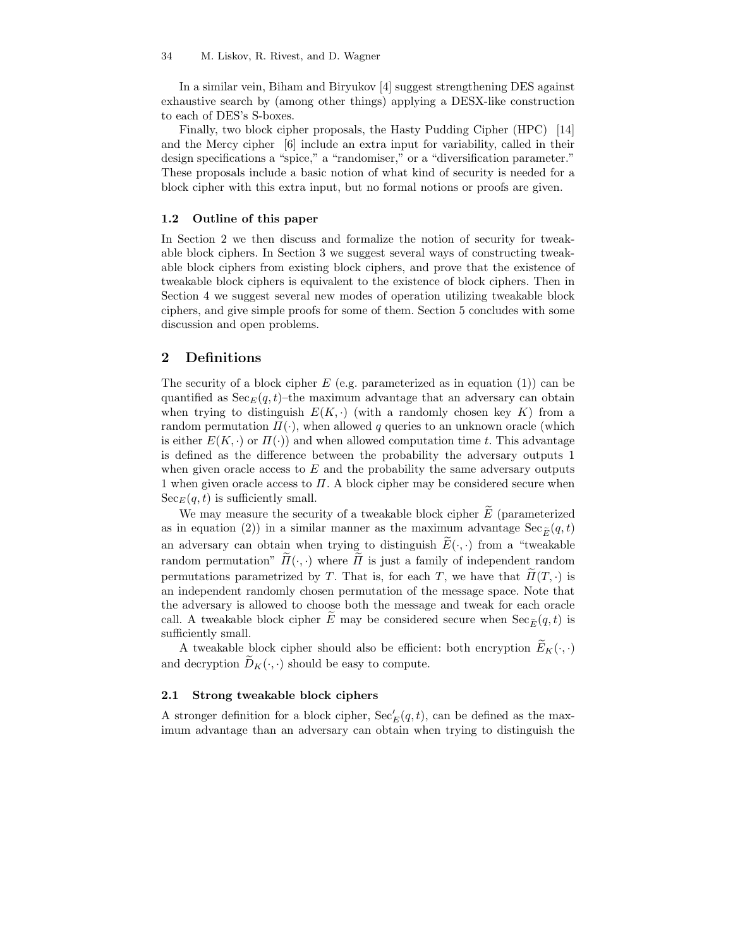In a similar vein, Biham and Biryukov [4] suggest strengthening DES against exhaustive search by (among other things) applying a DESX-like construction to each of DES's S-boxes.

Finally, two block cipher proposals, the Hasty Pudding Cipher (HPC) [14] and the Mercy cipher [6] include an extra input for variability, called in their design specifications a "spice," a "randomiser," or a "diversification parameter." These proposals include a basic notion of what kind of security is needed for a block cipher with this extra input, but no formal notions or proofs are given.

### 1.2 Outline of this paper

In Section 2 we then discuss and formalize the notion of security for tweakable block ciphers. In Section 3 we suggest several ways of constructing tweakable block ciphers from existing block ciphers, and prove that the existence of tweakable block ciphers is equivalent to the existence of block ciphers. Then in Section 4 we suggest several new modes of operation utilizing tweakable block ciphers, and give simple proofs for some of them. Section 5 concludes with some discussion and open problems.

## 2 Definitions

The security of a block cipher  $E$  (e.g. parameterized as in equation (1)) can be quantified as  $\text{Sec}_E(q,t)$ –the maximum advantage that an adversary can obtain when trying to distinguish  $E(K, \cdot)$  (with a randomly chosen key K) from a random permutation  $\Pi(\cdot)$ , when allowed q queries to an unknown oracle (which is either  $E(K, \cdot)$  or  $\Pi(\cdot)$  and when allowed computation time t. This advantage is defined as the difference between the probability the adversary outputs 1 when given oracle access to  $E$  and the probability the same adversary outputs 1 when given oracle access to  $\Pi$ . A block cipher may be considered secure when  $\operatorname{Sec}_E(q,t)$  is sufficiently small.

We may measure the security of a tweakable block cipher  $\widetilde{E}$  (parameterized as in equation (2)) in a similar manner as the maximum advantage  $\text{Sec}_{\widetilde{E}}(q,t)$ an adversary can obtain when trying to distinguish  $E(\cdot, \cdot)$  from a "tweakable random permutation"  $\tilde{\Pi}(\cdot,\cdot)$  where  $\tilde{\Pi}$  is just a family of independent random permutations parametrized by T. That is, for each T, we have that  $\Pi(T, \cdot)$  is an independent randomly chosen permutation of the message space. Note that the adversary is allowed to choose both the message and tweak for each oracle call. A tweakable block cipher  $\widetilde{E}$  may be considered secure when  $\operatorname{Sec}_{\widetilde{E}}(q,t)$  is sufficiently small.

A tweakable block cipher should also be efficient: both encryption  $\widetilde{E}_K(\cdot, \cdot)$ and decryption  $\tilde{D}_K(\cdot, \cdot)$  should be easy to compute.

## 2.1 Strong tweakable block ciphers

A stronger definition for a block cipher,  $\operatorname{Sec}'_E(q,t)$ , can be defined as the maximum advantage than an adversary can obtain when trying to distinguish the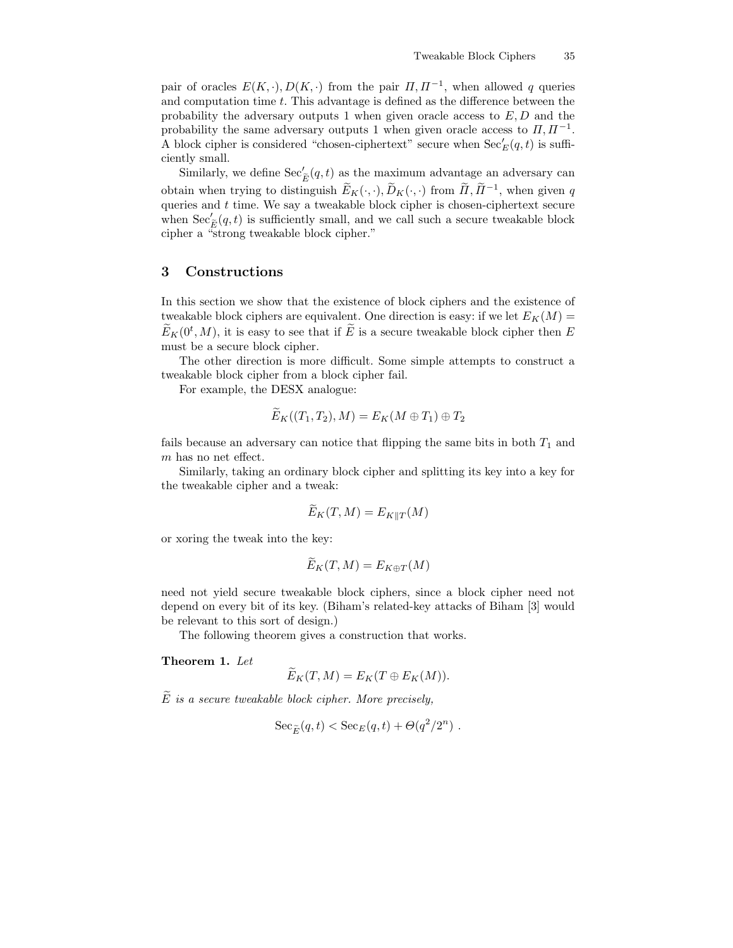pair of oracles  $E(K, \cdot), D(K, \cdot)$  from the pair  $\Pi, \Pi^{-1}$ , when allowed q queries and computation time t. This advantage is defined as the difference between the probability the adversary outputs 1 when given oracle access to  $E, D$  and the probability the same adversary outputs 1 when given oracle access to  $\Pi, \Pi^{-1}$ . A block cipher is considered "chosen-ciphertext" secure when  $\operatorname{Sec}_{E}^{\prime}(q,t)$  is sufficiently small.

Similarly, we define  $\operatorname{Sec}_{\tilde{E}}^{\prime}(q,t)$  as the maximum advantage an adversary can obtain when trying to distinguish  $\widetilde{E}_K(\cdot,\cdot), \widetilde{D}_K(\cdot,\cdot)$  from  $\widetilde{H}, \widetilde{H}^{-1}$ , when given q queries and  $t$  time. We say a tweakable block cipher is chosen-ciphertext secure when  $\text{Sec}_{\tilde{E}}(q,t)$  is sufficiently small, and we call such a secure tweakable block cipher a "strong tweakable block cipher."

## 3 Constructions

In this section we show that the existence of block ciphers and the existence of tweakable block ciphers are equivalent. One direction is easy: if we let  $E_K(M)$  =  $\widetilde{E}_K(0^t, M)$ , it is easy to see that if  $\widetilde{E}$  is a secure tweakable block cipher then E must be a secure block cipher.

The other direction is more difficult. Some simple attempts to construct a tweakable block cipher from a block cipher fail.

For example, the DESX analogue:

$$
E_K((T_1,T_2),M)=E_K(M\oplus T_1)\oplus T_2
$$

fails because an adversary can notice that flipping the same bits in both  $T_1$  and m has no net effect.

Similarly, taking an ordinary block cipher and splitting its key into a key for the tweakable cipher and a tweak:

$$
E_K(T, M) = E_{K||T}(M)
$$

or xoring the tweak into the key:

$$
\widetilde{E}_K(T,M) = E_{K \oplus T}(M)
$$

need not yield secure tweakable block ciphers, since a block cipher need not depend on every bit of its key. (Biham's related-key attacks of Biham [3] would be relevant to this sort of design.)

The following theorem gives a construction that works.

### Theorem 1. Let

$$
E_K(T,M) = E_K(T \oplus E_K(M)).
$$

 $\widetilde{E}$  is a secure tweakable block cipher. More precisely,

$$
\mathrm{Sec}_{\widetilde{E}}(q,t) < \mathrm{Sec}_E(q,t) + \Theta(q^2/2^n) .
$$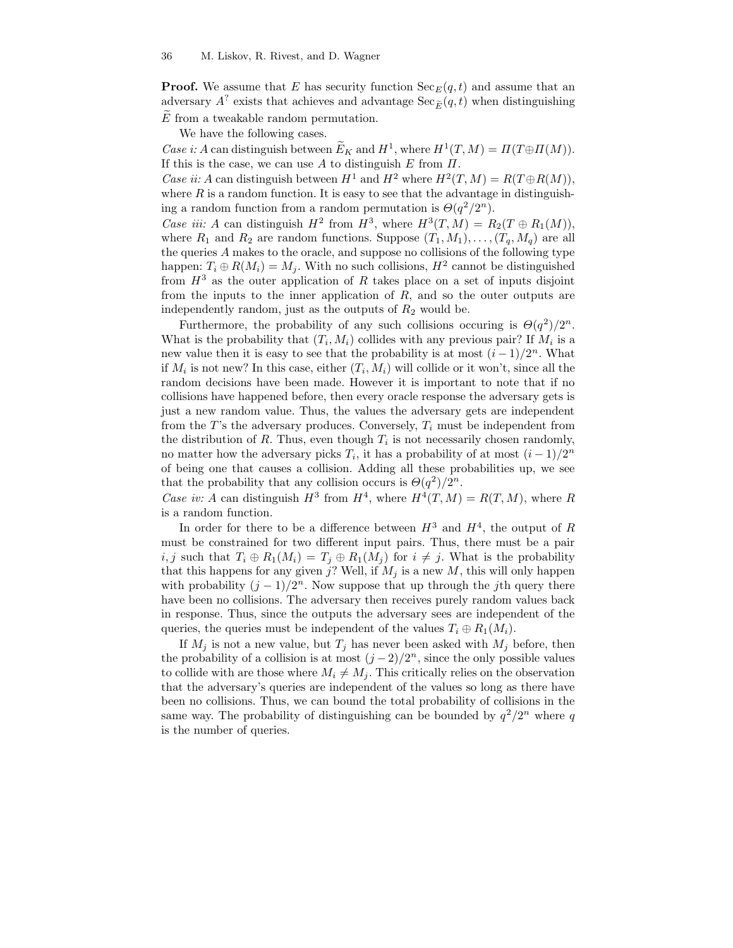**Proof.** We assume that E has security function  $\text{Sec}_E(q,t)$  and assume that an adversary  $A^?$  exists that achieves and advantage  $\text{Sec}_{\tilde{E}}(q,t)$  when distinguishing  $E$  from a tweakable random permutation.

We have the following cases.

Case i: A can distinguish between  $\widetilde{E}_K$  and  $H^1$ , where  $H^1(T,M) = \Pi(T \oplus \Pi(M)).$ If this is the case, we can use  $A$  to distinguish  $E$  from  $\Pi$ .

Case ii: A can distinguish between  $H^1$  and  $H^2$  where  $H^2(T, M) = R(T \oplus R(M))$ , where  $R$  is a random function. It is easy to see that the advantage in distinguishing a random function from a random permutation is  $\Theta(q^2/2^n)$ .

Case iii: A can distinguish  $H^2$  from  $H^3$ , where  $H^3(T,M) = R_2(T \oplus R_1(M))$ , where  $R_1$  and  $R_2$  are random functions. Suppose  $(T_1, M_1), \ldots, (T_q, M_q)$  are all the queries A makes to the oracle, and suppose no collisions of the following type happen:  $T_i \oplus R(M_i) = M_j$ . With no such collisions,  $H^2$  cannot be distinguished from  $H^3$  as the outer application of R takes place on a set of inputs disjoint from the inputs to the inner application of  $R$ , and so the outer outputs are independently random, just as the outputs of  $R_2$  would be.

Furthermore, the probability of any such collisions occuring is  $\Theta(q^2)/2^n$ . What is the probability that  $(T_i, M_i)$  collides with any previous pair? If  $M_i$  is a new value then it is easy to see that the probability is at most  $(i-1)/2^n$ . What if  $M_i$  is not new? In this case, either  $(T_i, M_i)$  will collide or it won't, since all the random decisions have been made. However it is important to note that if no collisions have happened before, then every oracle response the adversary gets is just a new random value. Thus, the values the adversary gets are independent from the T's the adversary produces. Conversely,  $T_i$  must be independent from the distribution of R. Thus, even though  $T_i$  is not necessarily chosen randomly, no matter how the adversary picks  $T_i$ , it has a probability of at most  $(i-1)/2^n$ of being one that causes a collision. Adding all these probabilities up, we see that the probability that any collision occurs is  $\Theta(q^2)/2^n$ .

Case iv: A can distinguish  $H^3$  from  $H^4$ , where  $H^4(T,M) = R(T,M)$ , where R is a random function.

In order for there to be a difference between  $H^3$  and  $H^4$ , the output of R must be constrained for two different input pairs. Thus, there must be a pair i, j such that  $T_i \oplus R_1(M_i) = T_j \oplus R_1(M_j)$  for  $i \neq j$ . What is the probability that this happens for any given j? Well, if  $M_j$  is a new M, this will only happen with probability  $(j-1)/2^n$ . Now suppose that up through the jth query there have been no collisions. The adversary then receives purely random values back in response. Thus, since the outputs the adversary sees are independent of the queries, the queries must be independent of the values  $T_i \oplus R_1(M_i)$ .

If  $M_j$  is not a new value, but  $T_j$  has never been asked with  $M_j$  before, then the probability of a collision is at most  $(j-2)/2^n$ , since the only possible values to collide with are those where  $M_i \neq M_j$ . This critically relies on the observation that the adversary's queries are independent of the values so long as there have been no collisions. Thus, we can bound the total probability of collisions in the same way. The probability of distinguishing can be bounded by  $q^2/2^n$  where q is the number of queries.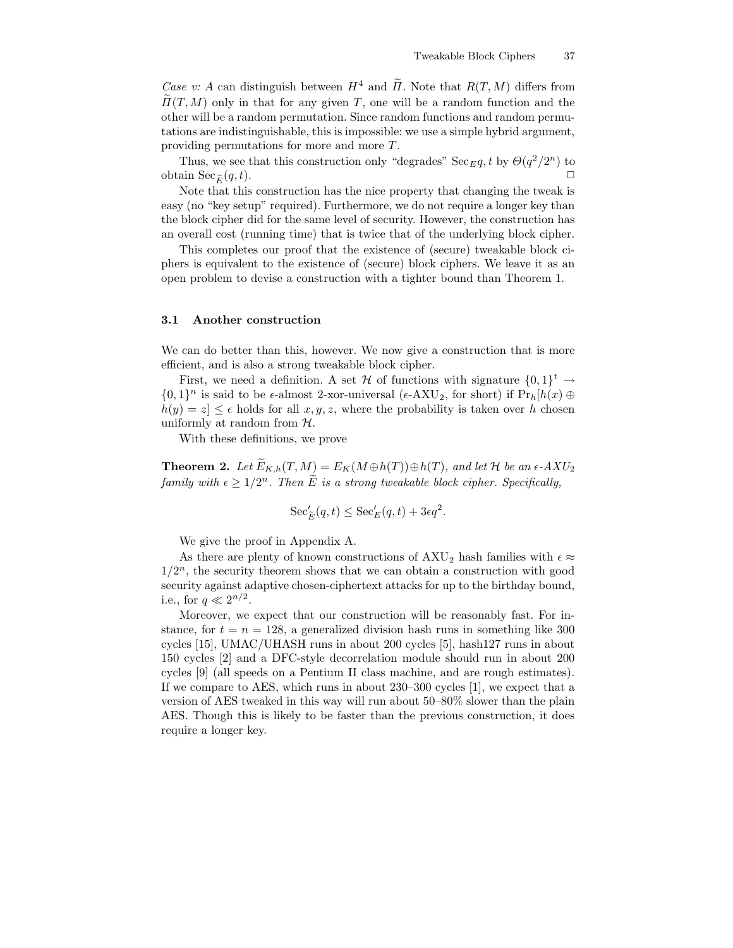Case v: A can distinguish between  $H^4$  and  $\tilde{\Pi}$ . Note that  $R(T, M)$  differs from  $\Pi(T, M)$  only in that for any given T, one will be a random function and the other will be a random permutation. Since random functions and random permutations are indistinguishable, this is impossible: we use a simple hybrid argument, providing permutations for more and more T.

Thus, we see that this construction only "degrades"  $\operatorname{Sec}_E q, t$  by  $\Theta(q^2/2^n)$  to obtain  $\text{Sec}_{\widetilde{F}}(q,t)$ .

Note that this construction has the nice property that changing the tweak is easy (no "key setup" required). Furthermore, we do not require a longer key than the block cipher did for the same level of security. However, the construction has an overall cost (running time) that is twice that of the underlying block cipher.

This completes our proof that the existence of (secure) tweakable block ciphers is equivalent to the existence of (secure) block ciphers. We leave it as an open problem to devise a construction with a tighter bound than Theorem 1.

#### 3.1 Another construction

We can do better than this, however. We now give a construction that is more efficient, and is also a strong tweakable block cipher.

First, we need a definition. A set H of functions with signature  $\{0,1\}^t \to$  $\{0,1\}^n$  is said to be  $\epsilon$ -almost 2-xor-universal ( $\epsilon$ -AXU<sub>2</sub>, for short) if  $Pr_h[h(x) \oplus$  $h(y) = z \leq \epsilon$  holds for all  $x, y, z$ , where the probability is taken over h chosen uniformly at random from  $H$ .

With these definitions, we prove

**Theorem 2.** Let  $\widetilde{E}_{K,h}(T,M) = E_K(M \oplus h(T)) \oplus h(T)$ , and let H be an  $\epsilon$ -AXU<sub>2</sub> family with  $\epsilon \geq 1/2^n$ . Then  $\tilde{E}$  is a strong tweakable block cipher. Specifically,

$$
\mathrm{Sec}'_{\widetilde{E}}(q,t) \le \mathrm{Sec}'_E(q,t) + 3\epsilon q^2.
$$

We give the proof in Appendix A.

As there are plenty of known constructions of AXU<sub>2</sub> hash families with  $\epsilon \approx$  $1/2^n$ , the security theorem shows that we can obtain a construction with good security against adaptive chosen-ciphertext attacks for up to the birthday bound, i.e., for  $q \ll 2^{n/2}$ .

Moreover, we expect that our construction will be reasonably fast. For instance, for  $t = n = 128$ , a generalized division hash runs in something like 300 cycles [15], UMAC/UHASH runs in about 200 cycles [5], hash127 runs in about 150 cycles [2] and a DFC-style decorrelation module should run in about 200 cycles [9] (all speeds on a Pentium II class machine, and are rough estimates). If we compare to AES, which runs in about 230–300 cycles [1], we expect that a version of AES tweaked in this way will run about 50–80% slower than the plain AES. Though this is likely to be faster than the previous construction, it does require a longer key.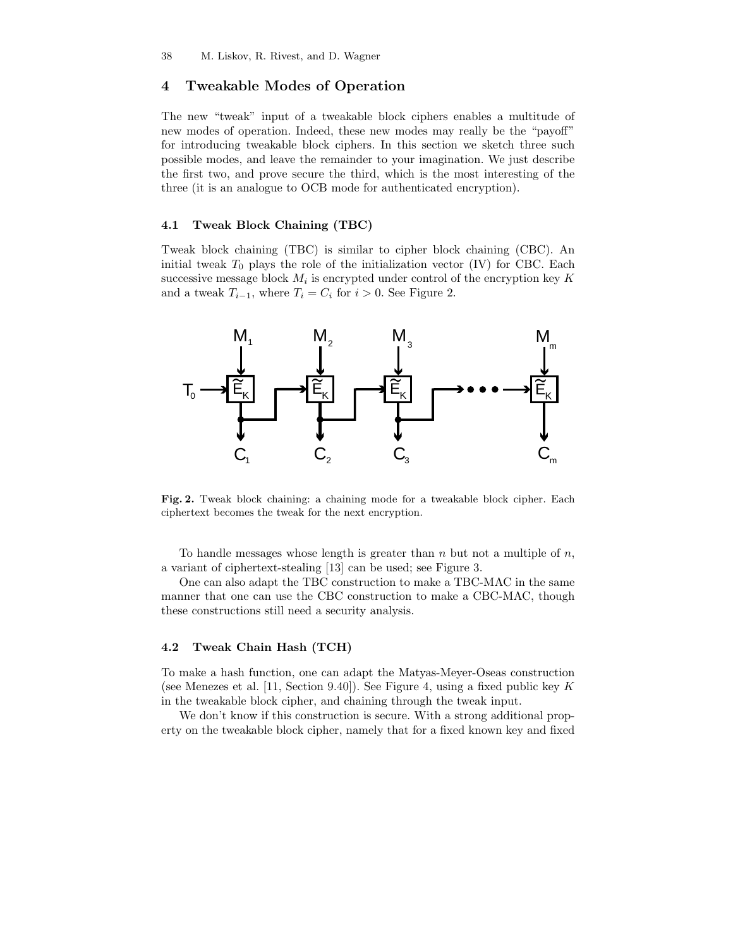## 4 Tweakable Modes of Operation

The new "tweak" input of a tweakable block ciphers enables a multitude of new modes of operation. Indeed, these new modes may really be the "payoff" for introducing tweakable block ciphers. In this section we sketch three such possible modes, and leave the remainder to your imagination. We just describe the first two, and prove secure the third, which is the most interesting of the three (it is an analogue to OCB mode for authenticated encryption).

### 4.1 Tweak Block Chaining (TBC)

Tweak block chaining (TBC) is similar to cipher block chaining (CBC). An initial tweak  $T_0$  plays the role of the initialization vector (IV) for CBC. Each successive message block  $M_i$  is encrypted under control of the encryption key K and a tweak  $T_{i-1}$ , where  $T_i = C_i$  for  $i > 0$ . See Figure 2.



Fig. 2. Tweak block chaining: a chaining mode for a tweakable block cipher. Each ciphertext becomes the tweak for the next encryption.

To handle messages whose length is greater than  $n$  but not a multiple of  $n$ , a variant of ciphertext-stealing [13] can be used; see Figure 3.

One can also adapt the TBC construction to make a TBC-MAC in the same manner that one can use the CBC construction to make a CBC-MAC, though these constructions still need a security analysis.

## 4.2 Tweak Chain Hash (TCH)

To make a hash function, one can adapt the Matyas-Meyer-Oseas construction (see Menezes et al. [11, Section 9.40]). See Figure 4, using a fixed public key  $K$ in the tweakable block cipher, and chaining through the tweak input.

We don't know if this construction is secure. With a strong additional property on the tweakable block cipher, namely that for a fixed known key and fixed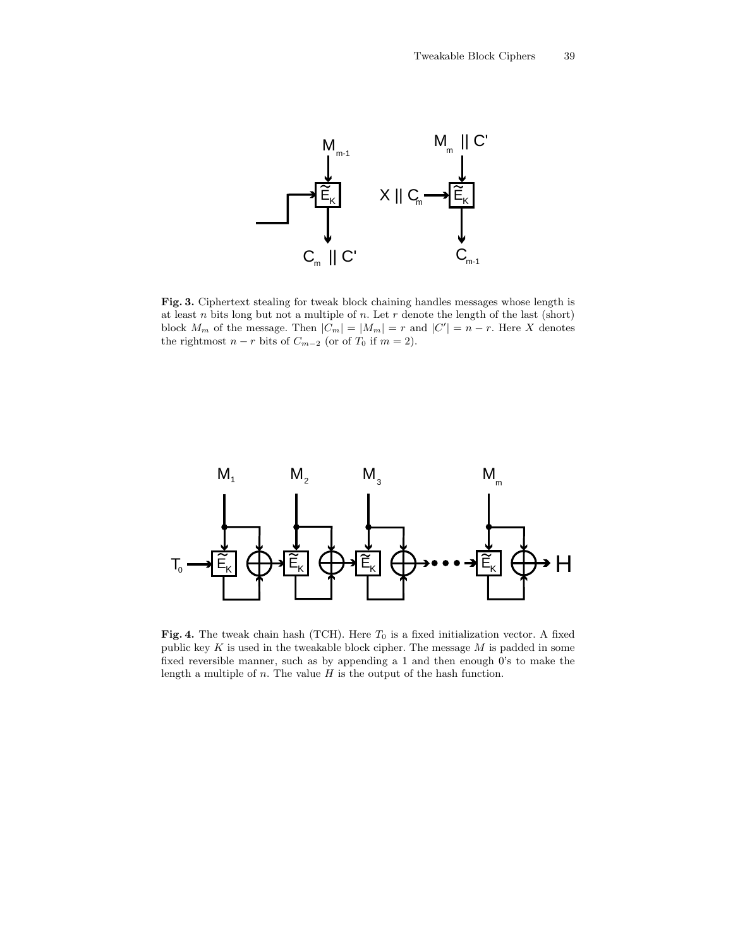

Fig. 3. Ciphertext stealing for tweak block chaining handles messages whose length is at least  $n$  bits long but not a multiple of  $n$ . Let  $r$  denote the length of the last (short) block  $M_m$  of the message. Then  $|\tilde{C}_m| = |M_m| = r$  and  $|C'| = n - r$ . Here X denotes the rightmost  $n - r$  bits of  $C_{m-2}$  (or of  $T_0$  if  $m = 2$ ).



Fig. 4. The tweak chain hash (TCH). Here  $T_0$  is a fixed initialization vector. A fixed public key K is used in the tweakable block cipher. The message  $M$  is padded in some fixed reversible manner, such as by appending a 1 and then enough 0's to make the length a multiple of  $n$ . The value  $H$  is the output of the hash function.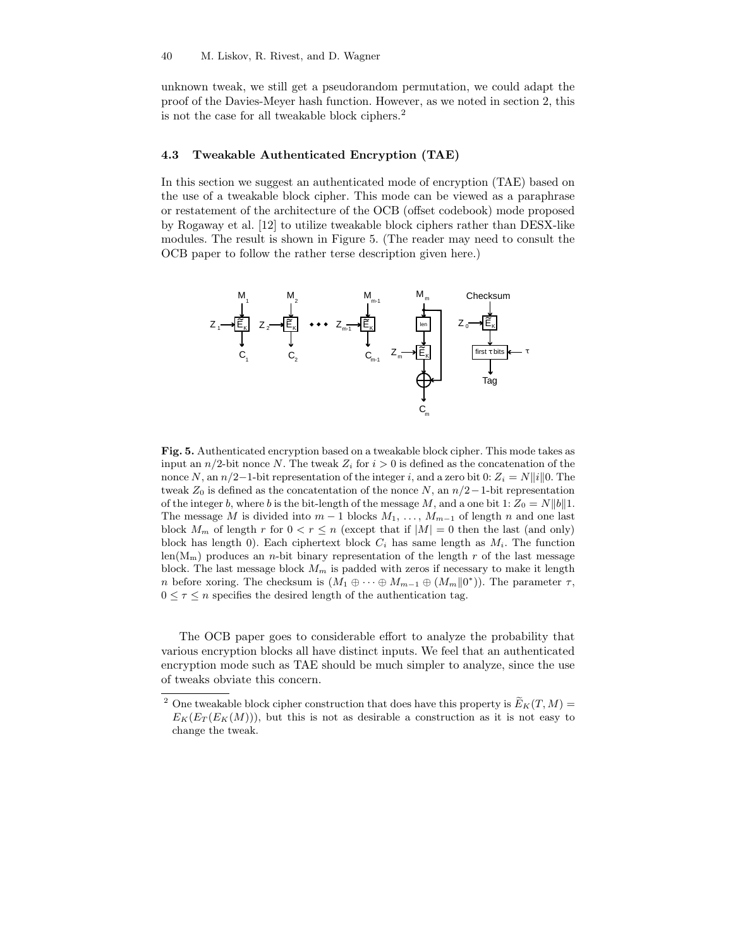unknown tweak, we still get a pseudorandom permutation, we could adapt the proof of the Davies-Meyer hash function. However, as we noted in section 2, this is not the case for all tweakable block ciphers.<sup>2</sup>

#### 4.3 Tweakable Authenticated Encryption (TAE)

In this section we suggest an authenticated mode of encryption (TAE) based on the use of a tweakable block cipher. This mode can be viewed as a paraphrase or restatement of the architecture of the OCB (offset codebook) mode proposed by Rogaway et al. [12] to utilize tweakable block ciphers rather than DESX-like modules. The result is shown in Figure 5. (The reader may need to consult the OCB paper to follow the rather terse description given here.)



Fig. 5. Authenticated encryption based on a tweakable block cipher. This mode takes as input an  $n/2$ -bit nonce N. The tweak  $Z_i$  for  $i > 0$  is defined as the concatenation of the nonce N, an  $n/2-1$ -bit representation of the integer i, and a zero bit 0:  $Z_i = N||i||0$ . The tweak  $Z_0$  is defined as the concatentation of the nonce  $N$ , an  $n/2-1$ -bit representation of the integer b, where b is the bit-length of the message M, and a one bit 1:  $Z_0 = N||b||1$ . The message M is divided into  $m-1$  blocks  $M_1, \ldots, M_{m-1}$  of length n and one last block  $M_m$  of length r for  $0 < r \leq n$  (except that if  $|M| = 0$  then the last (and only) block has length 0). Each ciphertext block  $C_i$  has same length as  $M_i$ . The function  $\text{len}(M_m)$  produces an *n*-bit binary representation of the length r of the last message block. The last message block  $M_m$  is padded with zeros if necessary to make it length *n* before xoring. The checksum is  $(M_1 \oplus \cdots \oplus M_{m-1} \oplus (M_m || 0^*))$ . The parameter  $\tau$ ,  $0 \leq \tau \leq n$  specifies the desired length of the authentication tag.

The OCB paper goes to considerable effort to analyze the probability that various encryption blocks all have distinct inputs. We feel that an authenticated encryption mode such as TAE should be much simpler to analyze, since the use of tweaks obviate this concern.

<sup>&</sup>lt;sup>2</sup> One tweakable block cipher construction that does have this property is  $\widetilde{E}_K(T, M)$  =  $E_K(E_T(E_K(M)))$ , but this is not as desirable a construction as it is not easy to change the tweak.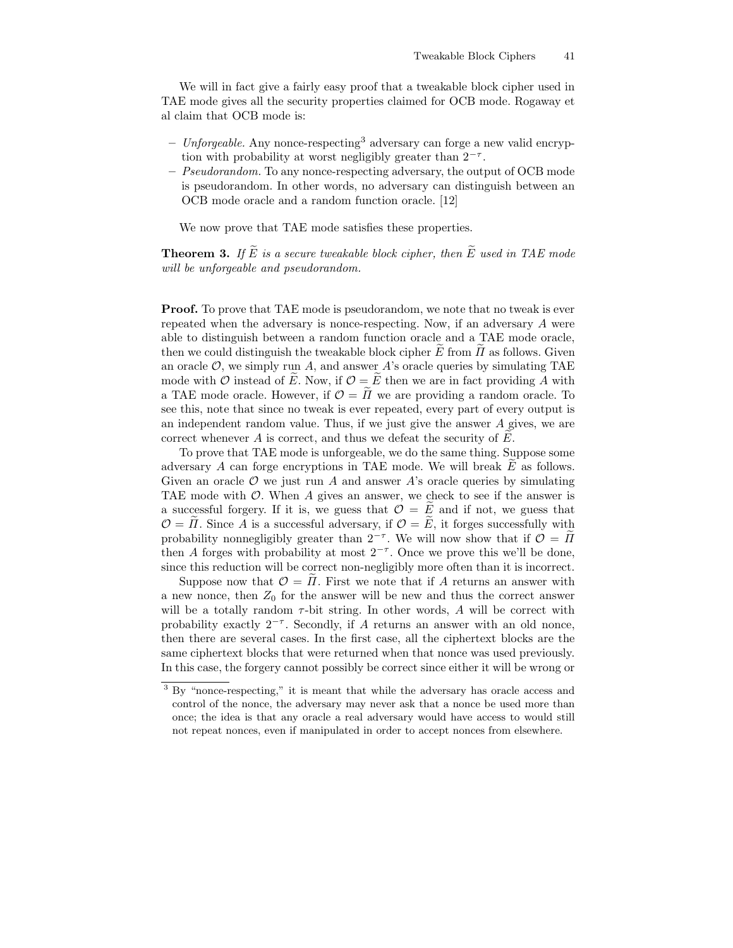We will in fact give a fairly easy proof that a tweakable block cipher used in TAE mode gives all the security properties claimed for OCB mode. Rogaway et al claim that OCB mode is:

- $-$  Unforgeable. Any nonce-respecting<sup>3</sup> adversary can forge a new valid encryption with probability at worst negligibly greater than  $2^{-\tau}$ .
- *Pseudorandom*. To any nonce-respecting adversary, the output of OCB mode is pseudorandom. In other words, no adversary can distinguish between an OCB mode oracle and a random function oracle. [12]

We now prove that TAE mode satisfies these properties.

**Theorem 3.** If  $\widetilde{E}$  is a secure tweakable block cipher, then  $\widetilde{E}$  used in TAE mode will be unforgeable and pseudorandom.

**Proof.** To prove that TAE mode is pseudorandom, we note that no tweak is ever repeated when the adversary is nonce-respecting. Now, if an adversary A were able to distinguish between a random function oracle and a TAE mode oracle, then we could distinguish the tweakable block cipher  $E$  from  $\Pi$  as follows. Given an oracle  $\mathcal{O}$ , we simply run A, and answer A's oracle queries by simulating TAE mode with  $\mathcal O$  instead of E. Now, if  $\mathcal O = E$  then we are in fact providing A with a TAE mode oracle. However, if  $\mathcal{O} = \Pi$  we are providing a random oracle. To see this, note that since no tweak is ever repeated, every part of every output is an independent random value. Thus, if we just give the answer A gives, we are correct whenever A is correct, and thus we defeat the security of  $\widetilde{E}$ .

To prove that TAE mode is unforgeable, we do the same thing. Suppose some adversary  $A$  can forge encryptions in TAE mode. We will break  $E$  as follows. Given an oracle  $\mathcal O$  we just run A and answer A's oracle queries by simulating TAE mode with  $\mathcal{O}$ . When A gives an answer, we check to see if the answer is a successful forgery. If it is, we guess that  $\mathcal{O} = \tilde{E}$  and if not, we guess that  $\mathcal{O} = \tilde{\Pi}$ . Since A is a successful adversary, if  $\mathcal{O} = \tilde{E}$ , it forges successfully with probability nonnegligibly greater than  $2^{-\tau}$ . We will now show that if  $\mathcal{O} = \overline{\mathcal{H}}$ then A forges with probability at most  $2^{-\tau}$ . Once we prove this we'll be done, since this reduction will be correct non-negligibly more often than it is incorrect.

Suppose now that  $\mathcal{O} = \Pi$ . First we note that if A returns an answer with a new nonce, then  $Z_0$  for the answer will be new and thus the correct answer will be a totally random  $\tau$ -bit string. In other words, A will be correct with probability exactly  $2^{-\tau}$ . Secondly, if A returns an answer with an old nonce, then there are several cases. In the first case, all the ciphertext blocks are the same ciphertext blocks that were returned when that nonce was used previously. In this case, the forgery cannot possibly be correct since either it will be wrong or

By "nonce-respecting," it is meant that while the adversary has oracle access and control of the nonce, the adversary may never ask that a nonce be used more than once; the idea is that any oracle a real adversary would have access to would still not repeat nonces, even if manipulated in order to accept nonces from elsewhere.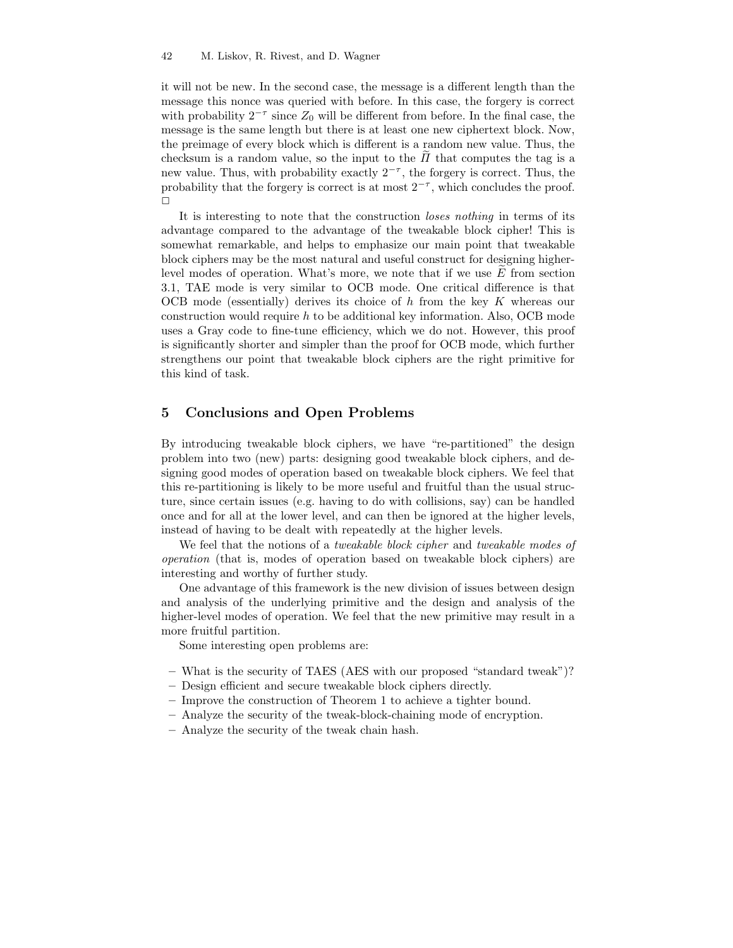it will not be new. In the second case, the message is a different length than the message this nonce was queried with before. In this case, the forgery is correct with probability  $2^{-\tau}$  since  $Z_0$  will be different from before. In the final case, the message is the same length but there is at least one new ciphertext block. Now, the preimage of every block which is different is a random new value. Thus, the checksum is a random value, so the input to the  $\Pi$  that computes the tag is a new value. Thus, with probability exactly  $2^{-\tau}$ , the forgery is correct. Thus, the probability that the forgery is correct is at most  $2^{-\tau}$ , which concludes the proof.  $\Box$ 

It is interesting to note that the construction loses nothing in terms of its advantage compared to the advantage of the tweakable block cipher! This is somewhat remarkable, and helps to emphasize our main point that tweakable block ciphers may be the most natural and useful construct for designing higherlevel modes of operation. What's more, we note that if we use  $E$  from section 3.1, TAE mode is very similar to OCB mode. One critical difference is that OCB mode (essentially) derives its choice of  $h$  from the key  $K$  whereas our construction would require  $h$  to be additional key information. Also, OCB mode uses a Gray code to fine-tune efficiency, which we do not. However, this proof is significantly shorter and simpler than the proof for OCB mode, which further strengthens our point that tweakable block ciphers are the right primitive for this kind of task.

## 5 Conclusions and Open Problems

By introducing tweakable block ciphers, we have "re-partitioned" the design problem into two (new) parts: designing good tweakable block ciphers, and designing good modes of operation based on tweakable block ciphers. We feel that this re-partitioning is likely to be more useful and fruitful than the usual structure, since certain issues (e.g. having to do with collisions, say) can be handled once and for all at the lower level, and can then be ignored at the higher levels, instead of having to be dealt with repeatedly at the higher levels.

We feel that the notions of a tweakable block cipher and tweakable modes of operation (that is, modes of operation based on tweakable block ciphers) are interesting and worthy of further study.

One advantage of this framework is the new division of issues between design and analysis of the underlying primitive and the design and analysis of the higher-level modes of operation. We feel that the new primitive may result in a more fruitful partition.

Some interesting open problems are:

- What is the security of TAES (AES with our proposed "standard tweak")?
- Design efficient and secure tweakable block ciphers directly.
- Improve the construction of Theorem 1 to achieve a tighter bound.
- Analyze the security of the tweak-block-chaining mode of encryption.
- Analyze the security of the tweak chain hash.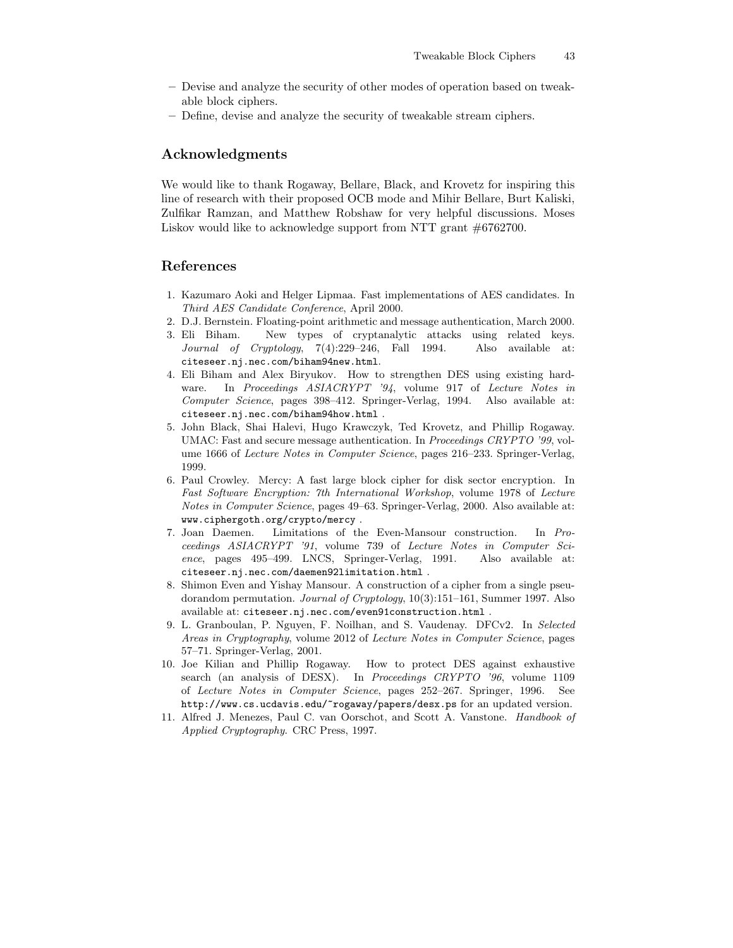- Devise and analyze the security of other modes of operation based on tweakable block ciphers.
- Define, devise and analyze the security of tweakable stream ciphers.

## Acknowledgments

We would like to thank Rogaway, Bellare, Black, and Krovetz for inspiring this line of research with their proposed OCB mode and Mihir Bellare, Burt Kaliski, Zulfikar Ramzan, and Matthew Robshaw for very helpful discussions. Moses Liskov would like to acknowledge support from NTT grant #6762700.

## References

- 1. Kazumaro Aoki and Helger Lipmaa. Fast implementations of AES candidates. In Third AES Candidate Conference, April 2000.
- 2. D.J. Bernstein. Floating-point arithmetic and message authentication, March 2000.
- 3. Eli Biham. New types of cryptanalytic attacks using related keys. Journal of Cryptology, 7(4):229–246, Fall 1994. Also available at: citeseer.nj.nec.com/biham94new.html.
- 4. Eli Biham and Alex Biryukov. How to strengthen DES using existing hardware. In Proceedings ASIACRYPT '94, volume 917 of Lecture Notes in Computer Science, pages 398–412. Springer-Verlag, 1994. Also available at: citeseer.nj.nec.com/biham94how.html .
- 5. John Black, Shai Halevi, Hugo Krawczyk, Ted Krovetz, and Phillip Rogaway. UMAC: Fast and secure message authentication. In Proceedings CRYPTO '99, volume 1666 of Lecture Notes in Computer Science, pages 216–233. Springer-Verlag, 1999.
- 6. Paul Crowley. Mercy: A fast large block cipher for disk sector encryption. In Fast Software Encryption: 7th International Workshop, volume 1978 of Lecture Notes in Computer Science, pages 49–63. Springer-Verlag, 2000. Also available at: www.ciphergoth.org/crypto/mercy .
- 7. Joan Daemen. Limitations of the Even-Mansour construction. In Proceedings ASIACRYPT '91, volume 739 of Lecture Notes in Computer Science, pages 495–499. LNCS, Springer-Verlag, 1991. Also available at: citeseer.nj.nec.com/daemen92limitation.html .
- 8. Shimon Even and Yishay Mansour. A construction of a cipher from a single pseudorandom permutation. Journal of Cryptology, 10(3):151–161, Summer 1997. Also available at: citeseer.nj.nec.com/even91construction.html .
- 9. L. Granboulan, P. Nguyen, F. Noilhan, and S. Vaudenay. DFCv2. In Selected Areas in Cryptography, volume 2012 of Lecture Notes in Computer Science, pages 57–71. Springer-Verlag, 2001.
- 10. Joe Kilian and Phillip Rogaway. How to protect DES against exhaustive search (an analysis of DESX). In Proceedings CRYPTO '96, volume 1109 of Lecture Notes in Computer Science, pages 252–267. Springer, 1996. See http://www.cs.ucdavis.edu/~rogaway/papers/desx.ps for an updated version.
- 11. Alfred J. Menezes, Paul C. van Oorschot, and Scott A. Vanstone. Handbook of Applied Cryptography. CRC Press, 1997.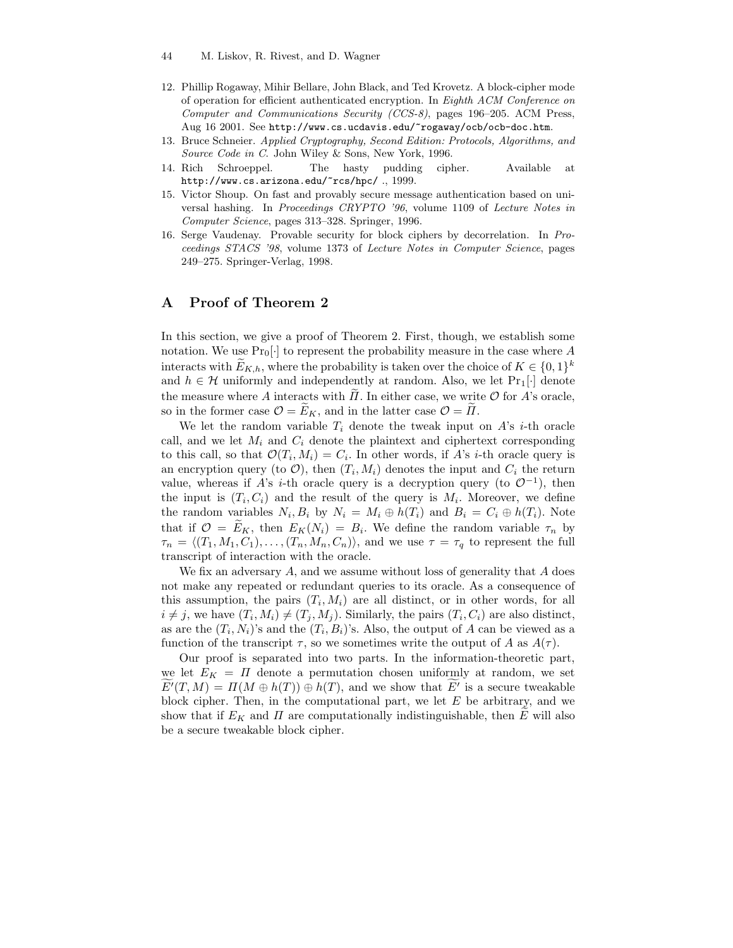- 44 M. Liskov, R. Rivest, and D. Wagner
- 12. Phillip Rogaway, Mihir Bellare, John Black, and Ted Krovetz. A block-cipher mode of operation for efficient authenticated encryption. In Eighth ACM Conference on Computer and Communications Security (CCS-8), pages 196–205. ACM Press, Aug 16 2001. See http://www.cs.ucdavis.edu/~rogaway/ocb/ocb-doc.htm.
- 13. Bruce Schneier. Applied Cryptography, Second Edition: Protocols, Algorithms, and Source Code in C. John Wiley & Sons, New York, 1996.
- 14. Rich Schroeppel. The hasty pudding cipher. Available at http://www.cs.arizona.edu/~rcs/hpc/., 1999.
- 15. Victor Shoup. On fast and provably secure message authentication based on universal hashing. In Proceedings CRYPTO '96, volume 1109 of Lecture Notes in Computer Science, pages 313–328. Springer, 1996.
- 16. Serge Vaudenay. Provable security for block ciphers by decorrelation. In Proceedings STACS '98, volume 1373 of Lecture Notes in Computer Science, pages 249–275. Springer-Verlag, 1998.

## A Proof of Theorem 2

In this section, we give a proof of Theorem 2. First, though, we establish some notation. We use  $Pr_0[\cdot]$  to represent the probability measure in the case where A interacts with  $\widetilde{E}_{K,h}$ , where the probability is taken over the choice of  $K \in \{0,1\}^k$ and  $h \in \mathcal{H}$  uniformly and independently at random. Also, we let Pr<sub>1</sub>[·] denote the measure where A interacts with  $\tilde{\Pi}$ . In either case, we write  $\mathcal O$  for A's oracle, so in the former case  $\mathcal{O} = E_K$ , and in the latter case  $\mathcal{O} = \Pi$ .

We let the random variable  $T_i$  denote the tweak input on  $A$ 's *i*-th oracle call, and we let  $M_i$  and  $C_i$  denote the plaintext and ciphertext corresponding to this call, so that  $\mathcal{O}(T_i, M_i) = C_i$ . In other words, if A's *i*-th oracle query is an encryption query (to  $\mathcal{O}$ ), then  $(T_i, M_i)$  denotes the input and  $C_i$  the return value, whereas if A's i-th oracle query is a decryption query (to  $\mathcal{O}^{-1}$ ), then the input is  $(T_i, C_i)$  and the result of the query is  $M_i$ . Moreover, we define the random variables  $N_i, B_i$  by  $N_i = M_i \oplus h(T_i)$  and  $B_i = C_i \oplus h(T_i)$ . Note that if  $\mathcal{O} = E_K$ , then  $E_K(N_i) = B_i$ . We define the random variable  $\tau_n$  by  $\tau_n = \langle (T_1, M_1, C_1), \ldots, (T_n, M_n, C_n) \rangle$ , and we use  $\tau = \tau_q$  to represent the full transcript of interaction with the oracle.

We fix an adversary  $A$ , and we assume without loss of generality that  $A$  does not make any repeated or redundant queries to its oracle. As a consequence of this assumption, the pairs  $(T_i, M_i)$  are all distinct, or in other words, for all  $i \neq j$ , we have  $(T_i, M_i) \neq (T_j, M_j)$ . Similarly, the pairs  $(T_i, C_i)$  are also distinct, as are the  $(T_i, N_i)$ 's and the  $(T_i, B_i)$ 's. Also, the output of A can be viewed as a function of the transcript  $\tau$ , so we sometimes write the output of A as  $A(\tau)$ .

Our proof is separated into two parts. In the information-theoretic part, we let  $E_K = \Pi$  denote a permutation chosen uniformly at random, we set  $E'(T, M) = \Pi(M \oplus h(T)) \oplus h(T)$ , and we show that E' is a secure tweakable block cipher. Then, in the computational part, we let  $E$  be arbitrary, and we show that if  $E_K$  and  $\Pi$  are computationally indistinguishable, then E will also be a secure tweakable block cipher.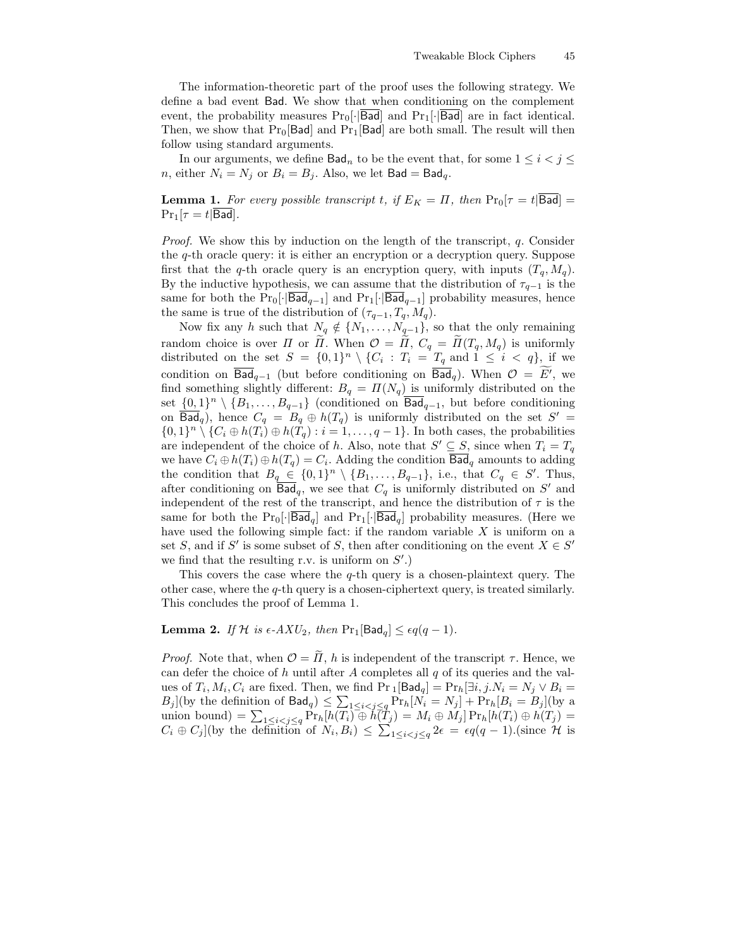The information-theoretic part of the proof uses the following strategy. We define a bad event Bad. We show that when conditioning on the complement event, the probability measures  $Pr_0[\cdot|\overline{\mathsf{Bad}}]$  and  $Pr_1[\cdot|\overline{\mathsf{Bad}}]$  are in fact identical. Then, we show that  $Pr_0[Bad]$  and  $Pr_1[Bad]$  are both small. The result will then follow using standard arguments.

In our arguments, we define  $\textsf{Bad}_n$  to be the event that, for some  $1 \leq i < j \leq k$ *n*, either  $N_i = N_j$  or  $B_i = B_j$ . Also, we let  $Bad = Bad_q$ .

**Lemma 1.** For every possible transcript t, if  $E_K = \Pi$ , then  $Pr_0[\tau = t | \overline{Bad}] =$  $Pr_1[\tau = t | \text{Bad}]$ .

*Proof.* We show this by induction on the length of the transcript,  $q$ . Consider the q-th oracle query: it is either an encryption or a decryption query. Suppose first that the q-th oracle query is an encryption query, with inputs  $(T_q, M_q)$ . By the inductive hypothesis, we can assume that the distribution of  $\tau_{q-1}$  is the same for both the  $Pr_0[\cdot|\overline{Bad}_{q-1}]$  and  $Pr_1[\cdot|\overline{Bad}_{q-1}]$  probability measures, hence the same is true of the distribution of  $(\tau_{q-1}, T_q, M_q)$ .

Now fix any h such that  $N_q \notin \{N_1, \ldots, N_{q-1}\}$ , so that the only remaining random choice is over  $\Pi$  or  $\tilde{\Pi}$ . When  $\mathcal{O} = \tilde{\Pi}$ ,  $C_q = \tilde{\Pi}(T_q, M_q)$  is uniformly distributed on the set  $S = \{0,1\}^n \setminus \{C_i : T_i = T_q \text{ and } 1 \leq i < q\},\$ if we condition on  $\overline{\mathsf{Bad}}_{q-1}$  (but before conditioning on  $\overline{\mathsf{Bad}}_q$ ). When  $\mathcal{O} = \widetilde{E}$ , we find something slightly different:  $B_q = \Pi(N_q)$  is uniformly distributed on the set  $\{0,1\}^n \setminus \{B_1,\ldots,B_{q-1}\}$  (conditioned on  $\overline{\mathsf{Bad}}_{q-1}$ , but before conditioning on  $\overline{Bad}_q$ , hence  $C_q = B_q \oplus h(T_q)$  is uniformly distributed on the set  $S' =$  $\{0,1\}^n \setminus \{C_i \oplus h(T_i) \oplus h(T_q) : i = 1,\ldots,q-1\}$ . In both cases, the probabilities are independent of the choice of h. Also, note that  $S' \subseteq S$ , since when  $T_i = T_q$ we have  $C_i \oplus h(T_i) \oplus h(T_q) = C_i$ . Adding the condition  $\overline{\mathsf{Bad}}_q$  amounts to adding the condition that  $B_q \in \{0,1\}^n \setminus \{B_1,\ldots,B_{q-1}\}\,$ , i.e., that  $C_q \in S'$ . Thus, after conditioning on  $\overline{\mathsf{Bad}}_q$ , we see that  $C_q$  is uniformly distributed on S' and independent of the rest of the transcript, and hence the distribution of  $\tau$  is the same for both the  $Pr_0[\cdot|\overline{Bad}_q]$  and  $Pr_1[\cdot|\overline{Bad}_q]$  probability measures. (Here we have used the following simple fact: if the random variable  $X$  is uniform on a set S, and if S' is some subset of S, then after conditioning on the event  $X \in S'$ we find that the resulting r.v. is uniform on  $S'$ .)

This covers the case where the  $q$ -th query is a chosen-plaintext query. The other case, where the  $q$ -th query is a chosen-ciphertext query, is treated similarly. This concludes the proof of Lemma 1.

Lemma 2. If  $H$  is  $\epsilon$ - $AXU_2$ , then  $Pr_1[Bad_q] \leq \epsilon q(q-1)$ .

*Proof.* Note that, when  $\mathcal{O} = \tilde{H}$ , h is independent of the transcript  $\tau$ . Hence, we can defer the choice of h until after A completes all  $q$  of its queries and the values of  $T_i, M_i, C_i$  are fixed. Then, we find  $Pr_1[Bad_q] = Pr_h[existsi, j.N_i = N_j \vee B_i =$  $B_j$  (by the definition of  $\text{Bad}_q$ )  $\leq \sum_{1 \leq i < j \leq q} \Pr_n[N_i = N_j] + \Pr_n[B_i = B_j]$  (by a union bound) =  $\sum_{1 \leq i < j \leq q} P_{r} \overline{P_{h}} \overline{h(T_{i}) \oplus h(T_{j})} = M_{i} \oplus M_{j} \overline{P_{h}} \overline{h(T_{i}) \oplus h(T_{j})} =$  $C_i \oplus C_j$  (by the definition of  $N_i, B_i$ )  $\leq \sum_{1 \leq i < j \leq q} 2\epsilon = \epsilon q(q-1)$ . (since H is